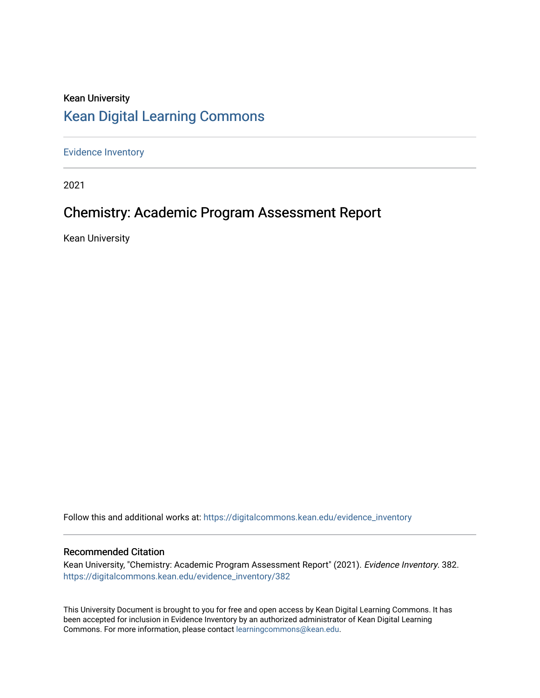# Kean University [Kean Digital Learning Commons](https://digitalcommons.kean.edu/)

[Evidence Inventory](https://digitalcommons.kean.edu/evidence_inventory) 

2021

# Chemistry: Academic Program Assessment Report

Kean University

Follow this and additional works at: [https://digitalcommons.kean.edu/evidence\\_inventory](https://digitalcommons.kean.edu/evidence_inventory?utm_source=digitalcommons.kean.edu%2Fevidence_inventory%2F382&utm_medium=PDF&utm_campaign=PDFCoverPages)

#### Recommended Citation

Kean University, "Chemistry: Academic Program Assessment Report" (2021). Evidence Inventory. 382. [https://digitalcommons.kean.edu/evidence\\_inventory/382](https://digitalcommons.kean.edu/evidence_inventory/382?utm_source=digitalcommons.kean.edu%2Fevidence_inventory%2F382&utm_medium=PDF&utm_campaign=PDFCoverPages)

This University Document is brought to you for free and open access by Kean Digital Learning Commons. It has been accepted for inclusion in Evidence Inventory by an authorized administrator of Kean Digital Learning Commons. For more information, please contact [learningcommons@kean.edu.](mailto:learningcommons@kean.edu)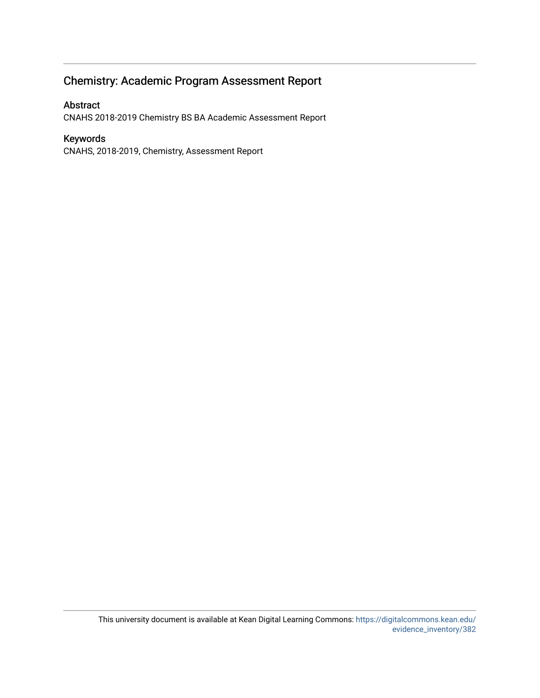# Chemistry: Academic Program Assessment Report

## Abstract

CNAHS 2018-2019 Chemistry BS BA Academic Assessment Report

## Keywords

CNAHS, 2018-2019, Chemistry, Assessment Report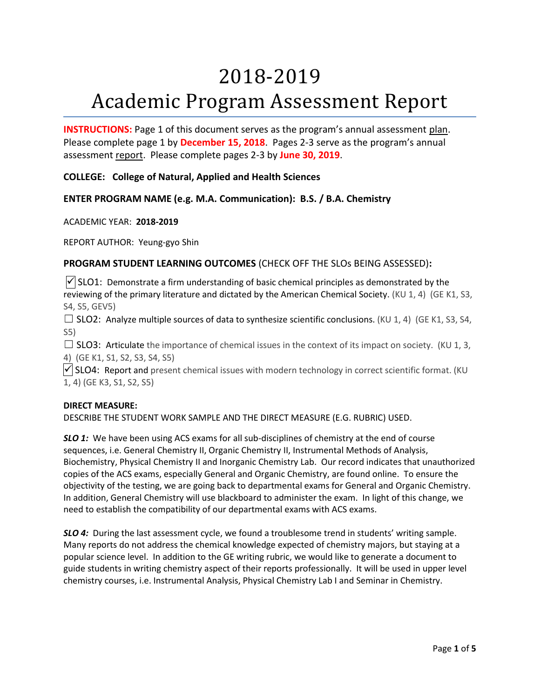# 2018-2019 Academic Program Assessment Report

**INSTRUCTIONS:** Page 1 of this document serves as the program's annual assessment plan. Please complete page 1 by **December 15, 2018**. Pages 2-3 serve as the program's annual assessment report. Please complete pages 2-3 by **June 30, 2019**.

**COLLEGE: College of Natural, Applied and Health Sciences**

**ENTER PROGRAM NAME (e.g. M.A. Communication): B.S. / B.A. Chemistry**

ACADEMIC YEAR: **2018-2019**

REPORT AUTHOR: Yeung-gyo Shin

## **PROGRAM STUDENT LEARNING OUTCOMES** (CHECK OFF THE SLOs BEING ASSESSED)**:**

 $\sqrt{\}$  SLO1: Demonstrate a firm understanding of basic chemical principles as demonstrated by the reviewing of the primary literature and dictated by the American Chemical Society. (KU 1, 4) (GE K1, S3, S4, S5, GEV5)

 $\Box$  SLO2: Analyze multiple sources of data to synthesize scientific conclusions. (KU 1, 4) (GE K1, S3, S4, S5)

 $\Box$  SLO3: Articulate the importance of chemical issues in the context of its impact on society. (KU 1, 3, 4) (GE K1, S1, S2, S3, S4, S5)

 $\sqrt{\frac{1}{100}}$  SLO4: Report and present chemical issues with modern technology in correct scientific format. (KU 1, 4) (GE K3, S1, S2, S5)

#### **DIRECT MEASURE:**

DESCRIBE THE STUDENT WORK SAMPLE AND THE DIRECT MEASURE (E.G. RUBRIC) USED.

**SLO 1:** We have been using ACS exams for all sub-disciplines of chemistry at the end of course sequences, i.e. General Chemistry II, Organic Chemistry II, Instrumental Methods of Analysis, Biochemistry, Physical Chemistry II and Inorganic Chemistry Lab. Our record indicates that unauthorized copies of the ACS exams, especially General and Organic Chemistry, are found online. To ensure the objectivity of the testing, we are going back to departmental exams for General and Organic Chemistry. In addition, General Chemistry will use blackboard to administer the exam. In light of this change, we need to establish the compatibility of our departmental exams with ACS exams.

**SLO 4:** During the last assessment cycle, we found a troublesome trend in students' writing sample. Many reports do not address the chemical knowledge expected of chemistry majors, but staying at a popular science level. In addition to the GE writing rubric, we would like to generate a document to guide students in writing chemistry aspect of their reports professionally. It will be used in upper level chemistry courses, i.e. Instrumental Analysis, Physical Chemistry Lab I and Seminar in Chemistry.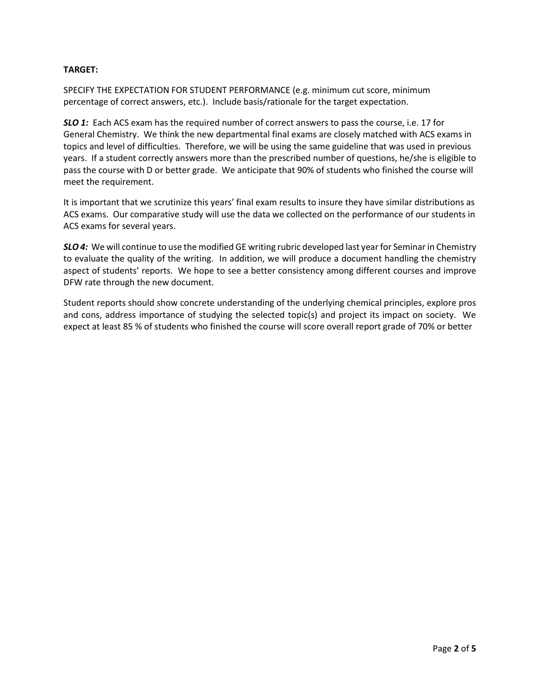### **TARGET:**

SPECIFY THE EXPECTATION FOR STUDENT PERFORMANCE (e.g. minimum cut score, minimum percentage of correct answers, etc.). Include basis/rationale for the target expectation.

*SLO 1:* Each ACS exam has the required number of correct answers to pass the course, i.e. 17 for General Chemistry. We think the new departmental final exams are closely matched with ACS exams in topics and level of difficulties. Therefore, we will be using the same guideline that was used in previous years. If a student correctly answers more than the prescribed number of questions, he/she is eligible to pass the course with D or better grade. We anticipate that 90% of students who finished the course will meet the requirement.

It is important that we scrutinize this years' final exam results to insure they have similar distributions as ACS exams. Our comparative study will use the data we collected on the performance of our students in ACS exams for several years.

*SLO 4:* We will continue to use the modified GE writing rubric developed last year for Seminar in Chemistry to evaluate the quality of the writing. In addition, we will produce a document handling the chemistry aspect of students' reports. We hope to see a better consistency among different courses and improve DFW rate through the new document.

Student reports should show concrete understanding of the underlying chemical principles, explore pros and cons, address importance of studying the selected topic(s) and project its impact on society. We expect at least 85 % of students who finished the course will score overall report grade of 70% or better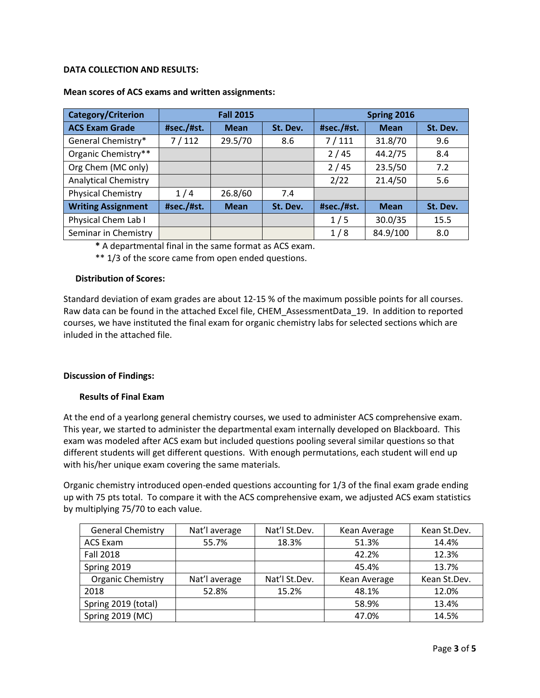#### **DATA COLLECTION AND RESULTS:**

| <b>Category/Criterion</b>   | <b>Fall 2015</b> |             |          | Spring 2016 |             |          |
|-----------------------------|------------------|-------------|----------|-------------|-------------|----------|
| <b>ACS Exam Grade</b>       | #sec./#st.       | <b>Mean</b> | St. Dev. | #sec./#st.  | <b>Mean</b> | St. Dev. |
| General Chemistry*          | 7/112            | 29.5/70     | 8.6      | 7/111       | 31.8/70     | 9.6      |
| Organic Chemistry**         |                  |             |          | 2/45        | 44.2/75     | 8.4      |
| Org Chem (MC only)          |                  |             |          | 2/45        | 23.5/50     | 7.2      |
| <b>Analytical Chemistry</b> |                  |             |          | 2/22        | 21.4/50     | 5.6      |
| <b>Physical Chemistry</b>   | 1/4              | 26.8/60     | 7.4      |             |             |          |
| <b>Writing Assignment</b>   | #sec./#st.       | <b>Mean</b> | St. Dev. | #sec./#st.  | <b>Mean</b> | St. Dev. |
| Physical Chem Lab I         |                  |             |          | 1/5         | 30.0/35     | 15.5     |
| Seminar in Chemistry        |                  |             |          | 1/8         | 84.9/100    | 8.0      |

#### **Mean scores of ACS exams and written assignments:**

**\*** A departmental final in the same format as ACS exam.

\*\* 1/3 of the score came from open ended questions.

#### **Distribution of Scores:**

Standard deviation of exam grades are about 12-15 % of the maximum possible points for all courses. Raw data can be found in the attached Excel file, CHEM\_AssessmentData\_19. In addition to reported courses, we have instituted the final exam for organic chemistry labs for selected sections which are inluded in the attached file.

#### **Discussion of Findings:**

#### **Results of Final Exam**

At the end of a yearlong general chemistry courses, we used to administer ACS comprehensive exam. This year, we started to administer the departmental exam internally developed on Blackboard. This exam was modeled after ACS exam but included questions pooling several similar questions so that different students will get different questions. With enough permutations, each student will end up with his/her unique exam covering the same materials.

Organic chemistry introduced open-ended questions accounting for 1/3 of the final exam grade ending up with 75 pts total. To compare it with the ACS comprehensive exam, we adjusted ACS exam statistics by multiplying 75/70 to each value.

| <b>General Chemistry</b> | Nat'l average | Nat'l St.Dev. | Kean Average | Kean St.Dev. |
|--------------------------|---------------|---------------|--------------|--------------|
| <b>ACS Exam</b>          | 55.7%         | 18.3%         | 51.3%        | 14.4%        |
| <b>Fall 2018</b>         |               |               | 42.2%        | 12.3%        |
| Spring 2019              |               |               | 45.4%        | 13.7%        |
| <b>Organic Chemistry</b> | Nat'l average | Nat'l St.Dev. | Kean Average | Kean St.Dev. |
| 2018                     | 52.8%         | 15.2%         | 48.1%        | 12.0%        |
| Spring 2019 (total)      |               |               | 58.9%        | 13.4%        |
| Spring 2019 (MC)         |               |               | 47.0%        | 14.5%        |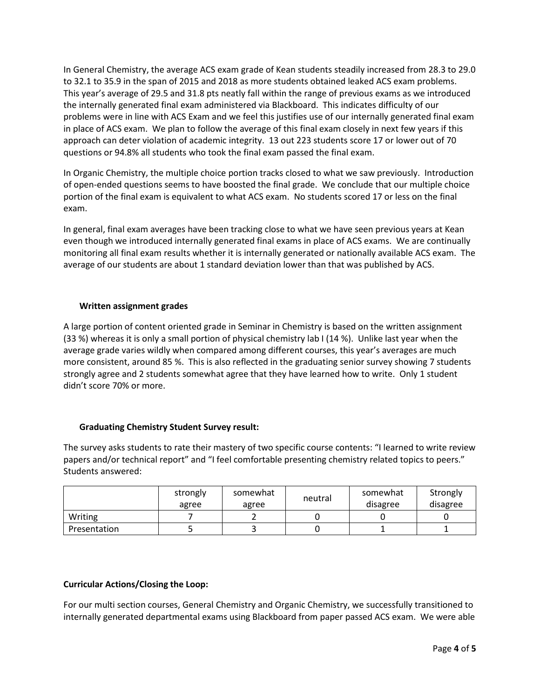In General Chemistry, the average ACS exam grade of Kean students steadily increased from 28.3 to 29.0 to 32.1 to 35.9 in the span of 2015 and 2018 as more students obtained leaked ACS exam problems. This year's average of 29.5 and 31.8 pts neatly fall within the range of previous exams as we introduced the internally generated final exam administered via Blackboard. This indicates difficulty of our problems were in line with ACS Exam and we feel this justifies use of our internally generated final exam in place of ACS exam. We plan to follow the average of this final exam closely in next few years if this approach can deter violation of academic integrity. 13 out 223 students score 17 or lower out of 70 questions or 94.8% all students who took the final exam passed the final exam.

In Organic Chemistry, the multiple choice portion tracks closed to what we saw previously. Introduction of open-ended questions seems to have boosted the final grade. We conclude that our multiple choice portion of the final exam is equivalent to what ACS exam. No students scored 17 or less on the final exam.

In general, final exam averages have been tracking close to what we have seen previous years at Kean even though we introduced internally generated final exams in place of ACS exams. We are continually monitoring all final exam results whether it is internally generated or nationally available ACS exam. The average of our students are about 1 standard deviation lower than that was published by ACS.

#### **Written assignment grades**

A large portion of content oriented grade in Seminar in Chemistry is based on the written assignment (33 %) whereas it is only a small portion of physical chemistry lab I (14 %). Unlike last year when the average grade varies wildly when compared among different courses, this year's averages are much more consistent, around 85 %. This is also reflected in the graduating senior survey showing 7 students strongly agree and 2 students somewhat agree that they have learned how to write. Only 1 student didn't score 70% or more.

#### **Graduating Chemistry Student Survey result:**

The survey asks students to rate their mastery of two specific course contents: "I learned to write review papers and/or technical report" and "I feel comfortable presenting chemistry related topics to peers." Students answered:

|              | strongly<br>agree | somewhat<br>agree | neutral | somewhat<br>disagree | Strongly<br>disagree |
|--------------|-------------------|-------------------|---------|----------------------|----------------------|
| Writing      |                   |                   |         |                      |                      |
| Presentation |                   |                   |         |                      |                      |

#### **Curricular Actions/Closing the Loop:**

For our multi section courses, General Chemistry and Organic Chemistry, we successfully transitioned to internally generated departmental exams using Blackboard from paper passed ACS exam. We were able